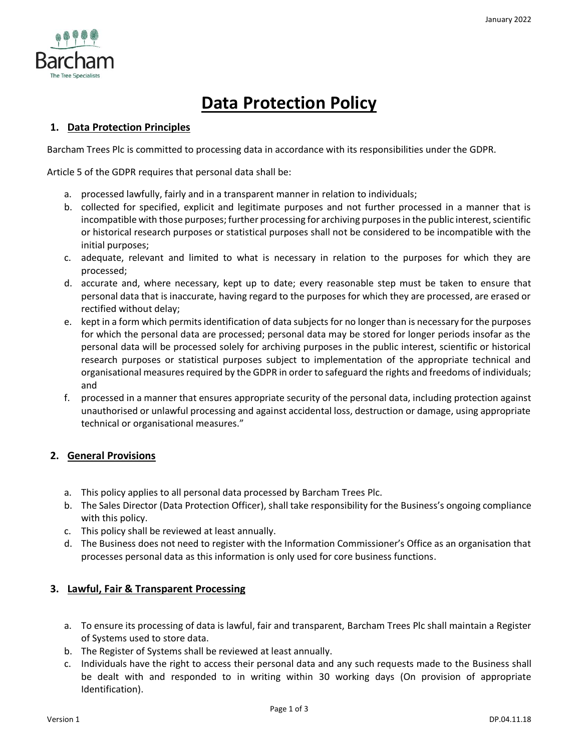

# **Data Protection Policy**

## **1. Data Protection Principles**

Barcham Trees Plc is committed to processing data in accordance with its responsibilities under the GDPR.

Article 5 of the GDPR requires that personal data shall be:

- a. processed lawfully, fairly and in a transparent manner in relation to individuals;
- b. collected for specified, explicit and legitimate purposes and not further processed in a manner that is incompatible with those purposes; further processing for archiving purposes in the public interest, scientific or historical research purposes or statistical purposes shall not be considered to be incompatible with the initial purposes;
- c. adequate, relevant and limited to what is necessary in relation to the purposes for which they are processed;
- d. accurate and, where necessary, kept up to date; every reasonable step must be taken to ensure that personal data that is inaccurate, having regard to the purposes for which they are processed, are erased or rectified without delay;
- e. kept in a form which permits identification of data subjects for no longer than is necessary for the purposes for which the personal data are processed; personal data may be stored for longer periods insofar as the personal data will be processed solely for archiving purposes in the public interest, scientific or historical research purposes or statistical purposes subject to implementation of the appropriate technical and organisational measures required by the GDPR in order to safeguard the rights and freedoms of individuals; and
- f. processed in a manner that ensures appropriate security of the personal data, including protection against unauthorised or unlawful processing and against accidental loss, destruction or damage, using appropriate technical or organisational measures."

## **2. General Provisions**

- a. This policy applies to all personal data processed by Barcham Trees Plc.
- b. The Sales Director (Data Protection Officer), shall take responsibility for the Business's ongoing compliance with this policy.
- c. This policy shall be reviewed at least annually.
- d. The Business does not need to register with the Information Commissioner's Office as an organisation that processes personal data as this information is only used for core business functions.

## **3. Lawful, Fair & Transparent Processing**

- a. To ensure its processing of data is lawful, fair and transparent, Barcham Trees Plc shall maintain a Register of Systems used to store data.
- b. The Register of Systems shall be reviewed at least annually.
- c. Individuals have the right to access their personal data and any such requests made to the Business shall be dealt with and responded to in writing within 30 working days (On provision of appropriate Identification).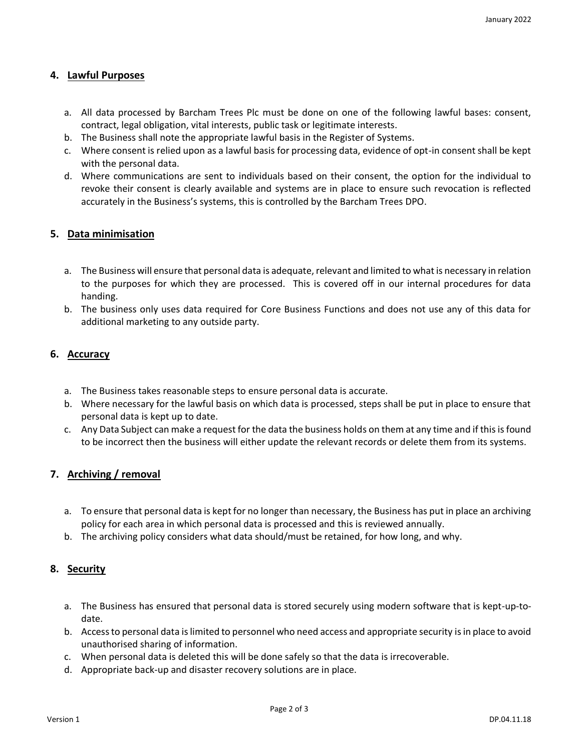### **4. Lawful Purposes**

- a. All data processed by Barcham Trees Plc must be done on one of the following lawful bases: consent, contract, legal obligation, vital interests, public task or legitimate interests.
- b. The Business shall note the appropriate lawful basis in the Register of Systems.
- c. Where consent is relied upon as a lawful basis for processing data, evidence of opt-in consent shall be kept with the personal data.
- d. Where communications are sent to individuals based on their consent, the option for the individual to revoke their consent is clearly available and systems are in place to ensure such revocation is reflected accurately in the Business's systems, this is controlled by the Barcham Trees DPO.

#### **5. Data minimisation**

- a. The Business will ensure that personal data is adequate, relevant and limited to what is necessary in relation to the purposes for which they are processed. This is covered off in our internal procedures for data handing.
- b. The business only uses data required for Core Business Functions and does not use any of this data for additional marketing to any outside party.

### **6. Accuracy**

- a. The Business takes reasonable steps to ensure personal data is accurate.
- b. Where necessary for the lawful basis on which data is processed, steps shall be put in place to ensure that personal data is kept up to date.
- c. Any Data Subject can make a request for the data the business holds on them at any time and if this is found to be incorrect then the business will either update the relevant records or delete them from its systems.

### **7. Archiving / removal**

- a. To ensure that personal data is kept for no longer than necessary, the Business has put in place an archiving policy for each area in which personal data is processed and this is reviewed annually.
- b. The archiving policy considers what data should/must be retained, for how long, and why.

#### **8. Security**

- a. The Business has ensured that personal data is stored securely using modern software that is kept-up-todate.
- b. Access to personal data is limited to personnel who need access and appropriate security is in place to avoid unauthorised sharing of information.
- c. When personal data is deleted this will be done safely so that the data is irrecoverable.
- d. Appropriate back-up and disaster recovery solutions are in place.